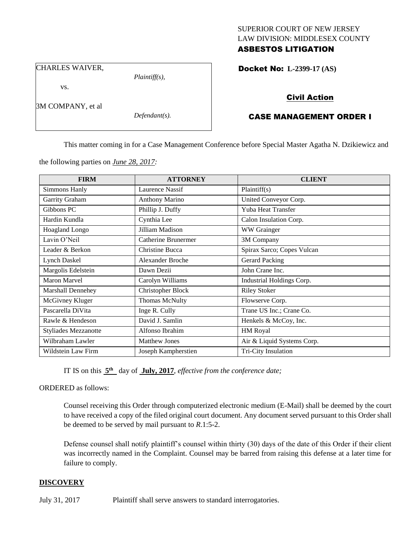### SUPERIOR COURT OF NEW JERSEY LAW DIVISION: MIDDLESEX COUNTY ASBESTOS LITIGATION

CHARLES WAIVER,

vs.

3M COMPANY, et al

*Defendant(s).*

*Plaintiff(s),*

Docket No: **L-2399-17 (AS)** 

## Civil Action

# CASE MANAGEMENT ORDER I

This matter coming in for a Case Management Conference before Special Master Agatha N. Dzikiewicz and

the following parties on *June 28, 2017:*

| <b>FIRM</b>                 | <b>ATTORNEY</b>            | <b>CLIENT</b>              |
|-----------------------------|----------------------------|----------------------------|
| Simmons Hanly               | Laurence Nassif            | Plaintiff(s)               |
| Garrity Graham              | <b>Anthony Marino</b>      | United Conveyor Corp.      |
| Gibbons PC                  | Phillip J. Duffy           | Yuba Heat Transfer         |
| Hardin Kundla               | Cynthia Lee                | Calon Insulation Corp.     |
| <b>Hoagland Longo</b>       | Jilliam Madison            | WW Grainger                |
| Lavin O'Neil                | <b>Catherine Brunermer</b> | 3M Company                 |
| Leader & Berkon             | Christine Bucca            | Spirax Sarco; Copes Vulcan |
| <b>Lynch Daskel</b>         | <b>Alexander Broche</b>    | Gerard Packing             |
| Margolis Edelstein          | Dawn Dezii                 | John Crane Inc.            |
| Maron Marvel                | Carolyn Williams           | Industrial Holdings Corp.  |
| <b>Marshall Dennehey</b>    | <b>Christopher Block</b>   | <b>Riley Stoker</b>        |
| McGivney Kluger             | <b>Thomas McNulty</b>      | Flowserve Corp.            |
| Pascarella DiVita           | Inge R. Cully              | Trane US Inc.; Crane Co.   |
| Rawle & Hendeson            | David J. Samlin            | Henkels & McCoy, Inc.      |
| <b>Styliades Mezzanotte</b> | Alfonso Ibrahim            | HM Royal                   |
| Wilbraham Lawler            | <b>Matthew Jones</b>       | Air & Liquid Systems Corp. |
| Wildstein Law Firm          | Joseph Kampherstien        | Tri-City Insulation        |

IT IS on this  $5<sup>th</sup>$  day of July, 2017, *effective from the conference date*;

ORDERED as follows:

Counsel receiving this Order through computerized electronic medium (E-Mail) shall be deemed by the court to have received a copy of the filed original court document. Any document served pursuant to this Order shall be deemed to be served by mail pursuant to *R*.1:5-2.

Defense counsel shall notify plaintiff's counsel within thirty (30) days of the date of this Order if their client was incorrectly named in the Complaint. Counsel may be barred from raising this defense at a later time for failure to comply.

### **DISCOVERY**

July 31, 2017 Plaintiff shall serve answers to standard interrogatories.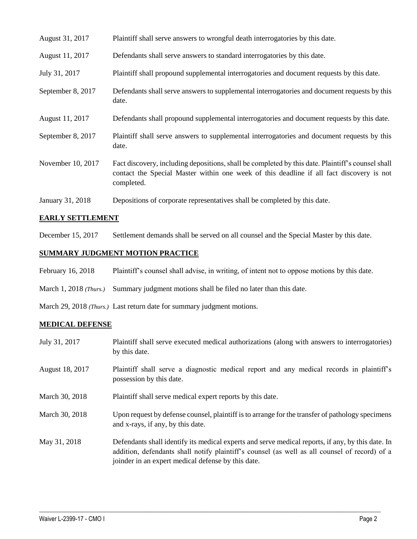| August 31, 2017   | Plaintiff shall serve answers to wrongful death interrogatories by this date.                                                                                                                               |
|-------------------|-------------------------------------------------------------------------------------------------------------------------------------------------------------------------------------------------------------|
| August 11, 2017   | Defendants shall serve answers to standard interrogatories by this date.                                                                                                                                    |
| July 31, 2017     | Plaintiff shall propound supplemental interrogatories and document requests by this date.                                                                                                                   |
| September 8, 2017 | Defendants shall serve answers to supplemental interrogatories and document requests by this<br>date.                                                                                                       |
| August 11, 2017   | Defendants shall propound supplemental interrogatories and document requests by this date.                                                                                                                  |
| September 8, 2017 | Plaintiff shall serve answers to supplemental interrogatories and document requests by this<br>date.                                                                                                        |
| November 10, 2017 | Fact discovery, including depositions, shall be completed by this date. Plaintiff's counsel shall<br>contact the Special Master within one week of this deadline if all fact discovery is not<br>completed. |
| January 31, 2018  | Depositions of corporate representatives shall be completed by this date.                                                                                                                                   |

### **EARLY SETTLEMENT**

December 15, 2017 Settlement demands shall be served on all counsel and the Special Master by this date.

# **SUMMARY JUDGMENT MOTION PRACTICE**

- February 16, 2018 Plaintiff's counsel shall advise, in writing, of intent not to oppose motions by this date.
- March 1, 2018 *(Thurs.)* Summary judgment motions shall be filed no later than this date.

March 29, 2018 *(Thurs.)* Last return date for summary judgment motions.

#### **MEDICAL DEFENSE**

| July 31, 2017   | Plaintiff shall serve executed medical authorizations (along with answers to interrogatories)<br>by this date.                                                                                                                                           |
|-----------------|----------------------------------------------------------------------------------------------------------------------------------------------------------------------------------------------------------------------------------------------------------|
| August 18, 2017 | Plaintiff shall serve a diagnostic medical report and any medical records in plaintiff's<br>possession by this date.                                                                                                                                     |
| March 30, 2018  | Plaintiff shall serve medical expert reports by this date.                                                                                                                                                                                               |
| March 30, 2018  | Upon request by defense counsel, plaintiff is to arrange for the transfer of pathology specimens<br>and x-rays, if any, by this date.                                                                                                                    |
| May 31, 2018    | Defendants shall identify its medical experts and serve medical reports, if any, by this date. In<br>addition, defendants shall notify plaintiff's counsel (as well as all counsel of record) of a<br>joinder in an expert medical defense by this date. |

 $\_$  ,  $\_$  ,  $\_$  ,  $\_$  ,  $\_$  ,  $\_$  ,  $\_$  ,  $\_$  ,  $\_$  ,  $\_$  ,  $\_$  ,  $\_$  ,  $\_$  ,  $\_$  ,  $\_$  ,  $\_$  ,  $\_$  ,  $\_$  ,  $\_$  ,  $\_$  ,  $\_$  ,  $\_$  ,  $\_$  ,  $\_$  ,  $\_$  ,  $\_$  ,  $\_$  ,  $\_$  ,  $\_$  ,  $\_$  ,  $\_$  ,  $\_$  ,  $\_$  ,  $\_$  ,  $\_$  ,  $\_$  ,  $\_$  ,